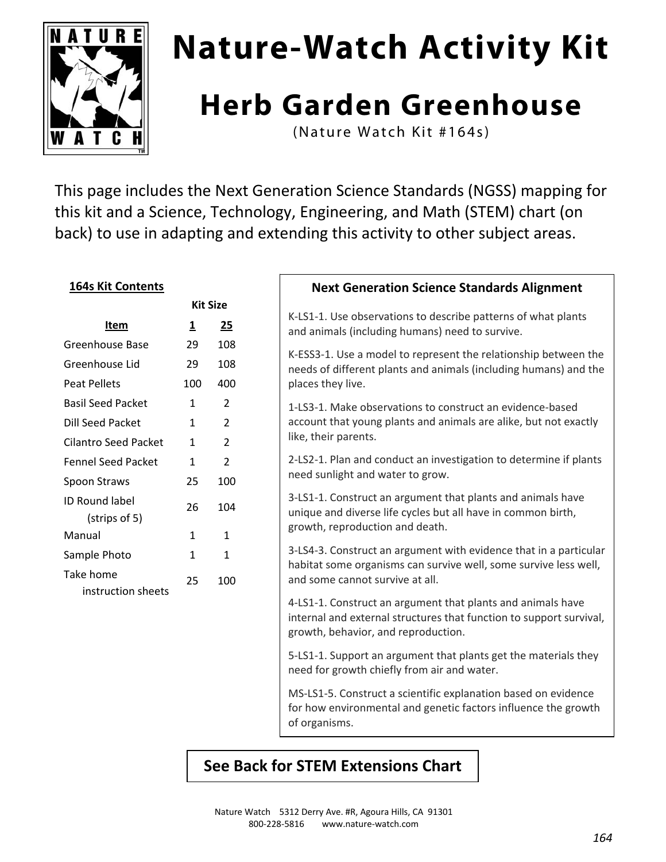

# **Nature-Watch Activity Kit**

# **Herb Garden Greenhouse**

(Nature Watch Kit #164s)

This page includes the Next Generation Science Standards (NGSS) mapping for this kit and a Science, Technology, Engineering, and Math (STEM) chart (on back) to use in adapting and extending this activity to other subject areas.

#### **164s Kit Contents**

|                                        | Kit Size                |                |  |
|----------------------------------------|-------------------------|----------------|--|
| Item                                   | $\overline{\mathbf{1}}$ | 25             |  |
| Greenhouse Base                        | 29                      | 108            |  |
| Greenhouse Lid                         | 29                      | 108            |  |
| Peat Pellets                           | 100                     | 400            |  |
| <b>Basil Seed Packet</b>               | 1                       | 2              |  |
| Dill Seed Packet                       | 1                       | $\overline{2}$ |  |
| Cilantro Seed Packet                   | 1                       | 2              |  |
| <b>Fennel Seed Packet</b>              | 1                       | 2              |  |
| Spoon Straws                           | 25                      | 100            |  |
| <b>ID Round label</b><br>(strips of 5) | 26                      | 104            |  |
| Manual                                 | 1                       | 1              |  |
| Sample Photo                           | 1                       | 1              |  |
| Take home<br>instruction sheets        | 25                      | 100            |  |

#### **Next Generation Science Standards Alignment**

K‐LS1‐1. Use observations to describe patterns of what plants and animals (including humans) need to survive.

K‐ESS3‐1. Use a model to represent the relationship between the needs of different plants and animals (including humans) and the places they live.

1‐LS3‐1. Make observations to construct an evidence‐based account that young plants and animals are alike, but not exactly like, their parents.

2‐LS2‐1. Plan and conduct an investigation to determine if plants need sunlight and water to grow.

3‐LS1‐1. Construct an argument that plants and animals have unique and diverse life cycles but all have in common birth, growth, reproduction and death.

3‐LS4‐3. Construct an argument with evidence that in a particular habitat some organisms can survive well, some survive less well, and some cannot survive at all.

4‐LS1‐1. Construct an argument that plants and animals have internal and external structures that function to support survival, growth, behavior, and reproduction.

5‐LS1‐1. Support an argument that plants get the materials they need for growth chiefly from air and water.

MS‐LS1‐5. Construct a scientific explanation based on evidence for how environmental and genetic factors influence the growth of organisms.

### **See Back for STEM Extensions Chart**